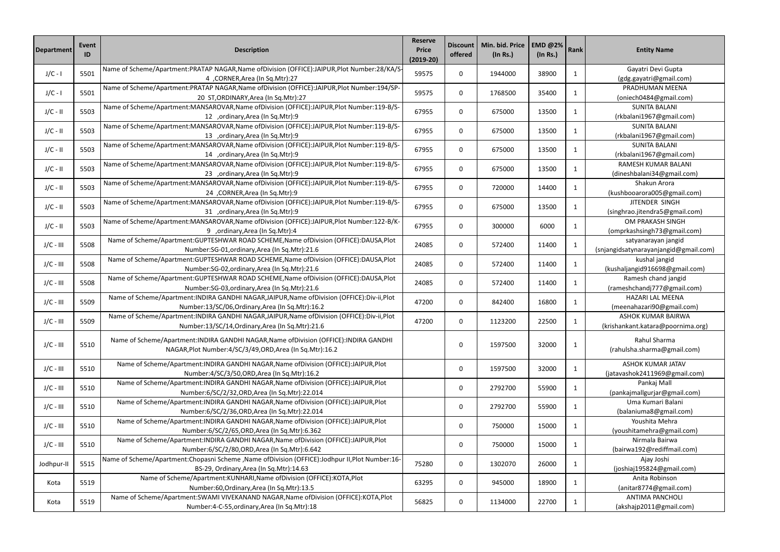| <b>Department</b> | Event<br>ID | <b>Description</b>                                                                             | <b>Reserve</b><br><b>Price</b><br>$(2019-20)$ | <b>Discount</b><br>offered | Min. bid. Price<br>$($ In Rs. $)$ | <b>EMD @2%</b><br>$($ ln Rs. $)$ | Rank         | <b>Entity Name</b>                    |  |
|-------------------|-------------|------------------------------------------------------------------------------------------------|-----------------------------------------------|----------------------------|-----------------------------------|----------------------------------|--------------|---------------------------------------|--|
| $J/C - I$         | 5501        | Name of Scheme/Apartment:PRATAP NAGAR,Name ofDivision (OFFICE):JAIPUR,Plot Number:28/KA/S-     | 59575                                         | $\mathbf 0$                | 1944000                           | 38900                            | 1            | Gayatri Devi Gupta                    |  |
|                   |             | 4 ,CORNER,Area (In Sq.Mtr):27                                                                  |                                               |                            |                                   |                                  |              | (gdg.gayatri@gmail.com)               |  |
| $J/C - I$         | 5501        | Name of Scheme/Apartment:PRATAP NAGAR,Name ofDivision (OFFICE):JAIPUR,Plot Number:194/SP-      | 59575                                         | $\mathbf 0$                | 1768500                           | 35400                            | 1            | PRADHUMAN MEENA                       |  |
|                   |             | 20 ST, ORDINARY, Area (In Sq. Mtr): 27                                                         |                                               |                            |                                   |                                  |              | (oniech0484@gmail.com)                |  |
| $J/C - II$        | 5503        | Name of Scheme/Apartment:MANSAROVAR,Name ofDivision (OFFICE):JAIPUR,Plot Number:119-B/S-       | 67955                                         | 0                          | 675000                            | 13500                            | $\mathbf{1}$ | <b>SUNITA BALANI</b>                  |  |
|                   |             | 12 ,ordinary, Area (In Sq. Mtr): 9                                                             |                                               |                            |                                   |                                  |              | (rkbalani1967@gmail.com)              |  |
| $J/C - II$        | 5503        | Name of Scheme/Apartment:MANSAROVAR, Name of Division (OFFICE):JAIPUR, Plot Number:119-B/S-    | 67955                                         | $\boldsymbol{0}$           | 675000                            | 13500                            | $\mathbf{1}$ | <b>SUNITA BALANI</b>                  |  |
|                   |             | 13 ,ordinary, Area (In Sq. Mtr): 9                                                             |                                               |                            |                                   |                                  |              | (rkbalani1967@gmail.com)              |  |
| $J/C - II$        | 5503        | Name of Scheme/Apartment:MANSAROVAR, Name of Division (OFFICE):JAIPUR, Plot Number:119-B/S-    | 67955                                         | 0                          | 675000                            | 13500                            | 1            | <b>SUNITA BALANI</b>                  |  |
|                   |             | 14 ,ordinary, Area (In Sq. Mtr): 9                                                             |                                               |                            |                                   |                                  |              | (rkbalani1967@gmail.com)              |  |
| $J/C - II$        | 5503        | Name of Scheme/Apartment:MANSAROVAR,Name ofDivision (OFFICE):JAIPUR,Plot Number:119-B/S-       | 67955                                         | $\mathbf 0$                | 675000                            | 13500                            | 1            | RAMESH KUMAR BALANI                   |  |
|                   |             | 23 ,ordinary, Area (In Sq. Mtr): 9                                                             |                                               |                            |                                   |                                  |              | (dineshbalani34@gmail.com)            |  |
| $J/C - II$        | 5503        | Name of Scheme/Apartment:MANSAROVAR,Name ofDivision (OFFICE):JAIPUR,Plot Number:119-B/S-       | 67955                                         | $\mathbf 0$                | 720000                            | 14400                            | 1            | Shakun Arora                          |  |
|                   |             | 24 ,CORNER,Area (In Sq.Mtr):9                                                                  |                                               |                            |                                   |                                  |              | (kushbooarora005@gmail.com)           |  |
| $J/C - II$        | 5503        | Name of Scheme/Apartment:MANSAROVAR,Name ofDivision (OFFICE):JAIPUR,Plot Number:119-B/S-       | 67955                                         | $\mathbf 0$                | 675000                            | 13500                            | $\mathbf{1}$ | JITENDER SINGH                        |  |
|                   |             | 31 ,ordinary, Area (In Sq. Mtr): 9                                                             |                                               |                            |                                   |                                  |              | (singhrao.jitendra5@gmail.com)        |  |
| $J/C - II$        | 5503        | Name of Scheme/Apartment:MANSAROVAR,Name ofDivision (OFFICE):JAIPUR,Plot Number:122-B/K-       | 67955                                         | 0                          | 300000                            | 6000                             | $\mathbf{1}$ | OM PRAKASH SINGH                      |  |
|                   |             | 9 ,ordinary, Area (In Sq. Mtr): 4                                                              |                                               |                            |                                   |                                  |              | (omprkashsingh73@gmail.com)           |  |
| $J/C - III$       | 5508        | Name of Scheme/Apartment:GUPTESHWAR ROAD SCHEME, Name of Division (OFFICE):DAUSA, Plot         | 24085                                         | $\mathbf 0$                | 572400                            | 11400                            | $\mathbf{1}$ | satyanarayan jangid                   |  |
|                   |             | Number:SG-01, ordinary, Area (In Sq. Mtr):21.6                                                 |                                               |                            |                                   |                                  |              | (snjangidsatynarayanjangid@gmail.com) |  |
| $J/C - III$       | 5508        | Name of Scheme/Apartment:GUPTESHWAR ROAD SCHEME, Name of Division (OFFICE): DAUSA, Plot        | 24085                                         | $\mathbf 0$                | 572400                            | 11400                            | 1            | kushal jangid                         |  |
|                   |             | Number:SG-02, ordinary, Area (In Sq. Mtr):21.6                                                 |                                               |                            |                                   |                                  |              | (kushaljangid916698@gmail.com)        |  |
| $J/C - III$       | 5508        | Name of Scheme/Apartment:GUPTESHWAR ROAD SCHEME, Name of Division (OFFICE): DAUSA, Plot        | 24085                                         | $\boldsymbol{0}$           | 572400                            | 11400                            | 1            | Ramesh chand jangid                   |  |
|                   |             | Number:SG-03, ordinary, Area (In Sq. Mtr):21.6                                                 |                                               |                            |                                   |                                  |              | (rameshchandj777@gmail.com)           |  |
| $J/C - III$       | 5509        | Name of Scheme/Apartment: INDIRA GANDHI NAGAR, JAIPUR, Name of Division (OFFICE): Div-ii, Plot |                                               | 47200<br>$\boldsymbol{0}$  | 842400                            | 16800                            |              | HAZARI LAL MEENA                      |  |
|                   |             | Number:13/SC/06, Ordinary, Area (In Sq. Mtr): 16.2                                             |                                               |                            |                                   |                                  | 1            | (meenahazari90@gmail.com)             |  |
|                   | 5509        | Name of Scheme/Apartment: INDIRA GANDHI NAGAR, JAIPUR, Name of Division (OFFICE): Div-ii, Plot | 47200                                         | $\boldsymbol{0}$           | 1123200                           | 22500                            |              | <b>ASHOK KUMAR BAIRWA</b>             |  |
| $J/C - III$       |             | Number:13/SC/14, Ordinary, Area (In Sq. Mtr):21.6                                              |                                               |                            |                                   |                                  | 1            | (krishankant.katara@poornima.org)     |  |
|                   |             |                                                                                                |                                               |                            |                                   |                                  |              |                                       |  |
| $J/C - III$       | 5510        | Name of Scheme/Apartment: INDIRA GANDHI NAGAR, Name of Division (OFFICE): INDIRA GANDHI        |                                               | $\mathbf 0$                | 1597500                           | 32000                            | 1            | Rahul Sharma                          |  |
|                   |             | NAGAR, Plot Number: 4/SC/3/49, ORD, Area (In Sq. Mtr): 16.2                                    |                                               |                            |                                   |                                  |              | (rahulsha.sharma@gmail.com)           |  |
|                   |             | Name of Scheme/Apartment: INDIRA GANDHI NAGAR, Name of Division (OFFICE): JAIPUR, Plot         |                                               |                            |                                   |                                  |              | <b>ASHOK KUMAR JATAV</b>              |  |
| $J/C - III$       | 5510        | Number:4/SC/3/50, ORD, Area (In Sq. Mtr): 16.2                                                 |                                               | $\mathbf 0$                | 1597500                           | 32000                            | $\mathbf{1}$ | (jatavashok2411969@gmail.com)         |  |
|                   |             | Name of Scheme/Apartment: INDIRA GANDHI NAGAR, Name of Division (OFFICE): JAIPUR, Plot         |                                               |                            |                                   |                                  |              | Pankaj Mall                           |  |
| $J/C - III$       | 5510        | Number:6/SC/2/32, ORD, Area (In Sq. Mtr): 22.014                                               |                                               | $\mathbf 0$                | 2792700                           | 55900                            | 1            | (pankajmallgurjar@gmail.com)          |  |
|                   |             | Name of Scheme/Apartment: INDIRA GANDHI NAGAR, Name of Division (OFFICE): JAIPUR, Plot         |                                               |                            |                                   |                                  |              | Uma Kumari Balani                     |  |
| $J/C - III$       | 5510        | Number:6/SC/2/36, ORD, Area (In Sq. Mtr): 22.014                                               |                                               | $\boldsymbol{0}$           | 2792700                           | 55900                            | $\mathbf{1}$ | (balaniuma8@gmail.com)                |  |
|                   |             | Name of Scheme/Apartment: INDIRA GANDHI NAGAR, Name of Division (OFFICE): JAIPUR, Plot         |                                               |                            |                                   |                                  |              | Youshita Mehra                        |  |
| $J/C - III$       | 5510        | Number:6/SC/2/65, ORD, Area (In Sq. Mtr):6.362                                                 |                                               | $\boldsymbol{0}$           | 750000                            | 15000                            | 1            | (youshitamehra@gmail.com)             |  |
|                   |             | Name of Scheme/Apartment: INDIRA GANDHI NAGAR, Name of Division (OFFICE): JAIPUR, Plot         |                                               |                            |                                   |                                  |              | Nirmala Bairwa                        |  |
| $J/C - III$       | 5510        | Number:6/SC/2/80, ORD, Area (In Sq. Mtr): 6.642                                                |                                               | $\boldsymbol{0}$           | 750000                            | 15000                            | 1            | (bairwa192@rediffmail.com)            |  |
|                   |             | Name of Scheme/Apartment:Chopasni Scheme ,Name ofDivision (OFFICE):Jodhpur II,Plot Number:16-  |                                               |                            |                                   |                                  |              | Ajay Joshi                            |  |
| Jodhpur-II        | 5515        | BS-29, Ordinary, Area (In Sq. Mtr): 14.63                                                      | 75280                                         | 0                          | 1302070                           | 26000                            | 1            | (joshiaj195824@gmail.com)             |  |
|                   | 5519        | Name of Scheme/Apartment:KUNHARI, Name of Division (OFFICE):KOTA, Plot                         | 63295                                         | $\mathbf 0$                | 945000                            | 18900                            |              | Anita Robinson                        |  |
| Kota              |             | Number:60, Ordinary, Area (In Sq. Mtr): 13.5                                                   |                                               |                            |                                   |                                  | 1            | (anitar8774@gmail.com)                |  |
|                   |             | Name of Scheme/Apartment:SWAMI VIVEKANAND NAGAR, Name of Division (OFFICE): KOTA, Plot         |                                               |                            |                                   |                                  |              | <b>ANTIMA PANCHOLI</b>                |  |
| Kota              | 5519        | Number:4-C-55, ordinary, Area (In Sq. Mtr): 18                                                 | 56825                                         | $\mathbf 0$                | 1134000                           | 22700                            | 1            | (akshajp2011@gmail.com)               |  |
|                   |             |                                                                                                |                                               |                            |                                   |                                  |              |                                       |  |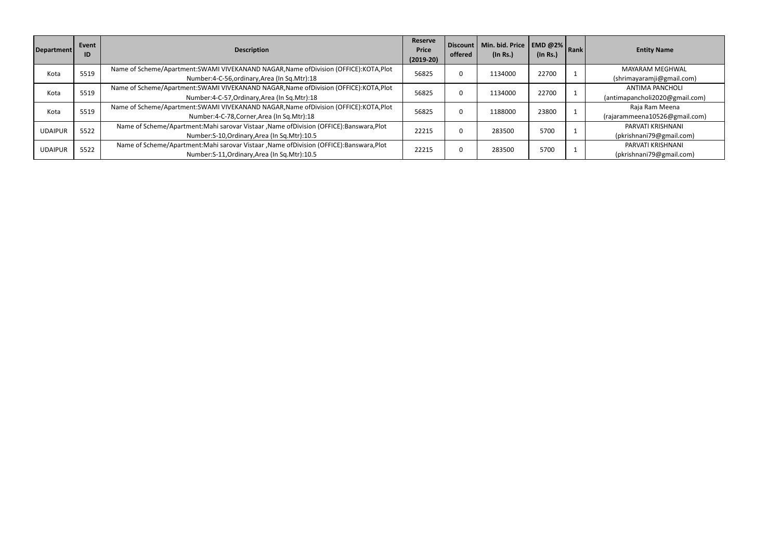| Department     | Event<br>ID | <b>Description</b>                                                                        | <b>Reserve</b><br><b>Price</b><br>$(2019-20)$ | offered | Discount   Min. bid. Price   EMD @2%   Rank<br>$($ ln Rs. $)$ | (In Rs.) | <b>Entity Name</b>             |
|----------------|-------------|-------------------------------------------------------------------------------------------|-----------------------------------------------|---------|---------------------------------------------------------------|----------|--------------------------------|
| Kota           | 5519        | Name of Scheme/Apartment:SWAMI VIVEKANAND NAGAR, Name of Division (OFFICE): KOTA, Plot    | 56825                                         |         | 1134000                                                       | 22700    | MAYARAM MEGHWAL                |
|                |             | Number:4-C-56, ordinary, Area (In Sq. Mtr): 18                                            |                                               |         |                                                               |          | (shrimayaramji@gmail.com)      |
| Kota           | 5519        | Name of Scheme/Apartment:SWAMI VIVEKANAND NAGAR, Name of Division (OFFICE): KOTA, Plot    | 56825                                         |         | 1134000                                                       | 22700    | <b>ANTIMA PANCHOLI</b>         |
|                |             | Number:4-C-57, Ordinary, Area (In Sq. Mtr): 18                                            |                                               |         |                                                               |          | (antimapancholi2020@gmail.com) |
| Kota           | 5519        | Name of Scheme/Apartment:SWAMI VIVEKANAND NAGAR, Name of Division (OFFICE): KOTA, Plot    | 56825                                         |         | 1188000                                                       | 23800    | Raja Ram Meena                 |
|                |             | Number:4-C-78, Corner, Area (In Sq. Mtr): 18                                              |                                               |         |                                                               |          | (rajarammeena10526@gmail.com)  |
| <b>UDAIPUR</b> | 5522        | Name of Scheme/Apartment: Mahi sarovar Vistaar, Name of Division (OFFICE): Banswara, Plot |                                               |         | 283500                                                        | 5700     | PARVATI KRISHNANI              |
|                |             | Number: S-10, Ordinary, Area (In Sq. Mtr): 10.5                                           | 22215                                         |         |                                                               |          | (pkrishnani79@gmail.com)       |
| <b>UDAIPUR</b> | 5522        | Name of Scheme/Apartment: Mahi sarovar Vistaar, Name of Division (OFFICE): Banswara, Plot | 22215                                         | 0       | 283500                                                        | 5700     | PARVATI KRISHNANI              |
|                |             | Number: S-11, Ordinary, Area (In Sq. Mtr): 10.5                                           |                                               |         |                                                               |          | (pkrishnani79@gmail.com)       |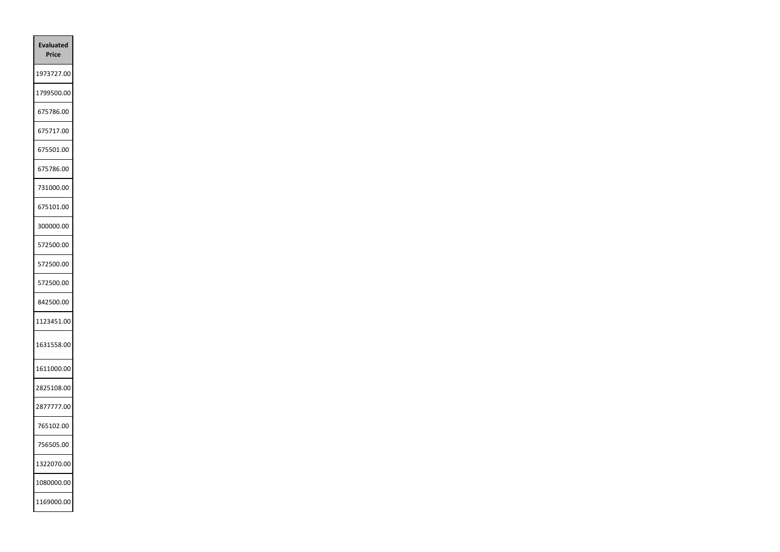| Evaluated<br><b>Price</b> |  |
|---------------------------|--|
| 1973727.00                |  |
| 1799500.00                |  |
| 675786.00                 |  |
| 675717.00                 |  |
| 675501.00                 |  |
| 675786.00                 |  |
| 731000.00                 |  |
| 675101.00                 |  |
| 300000.00                 |  |
| 572500.00                 |  |
| 572500.00                 |  |
| 572500.00                 |  |
| 842500.00                 |  |
| 1123451.00                |  |
| 1631558.00                |  |
| 1611000.00                |  |
| 2825108.00                |  |
| 2877777.00                |  |
| 765102.00                 |  |
| 756505.00                 |  |
| 1322070.00                |  |
| 1080000.00                |  |
| 1169000.00                |  |